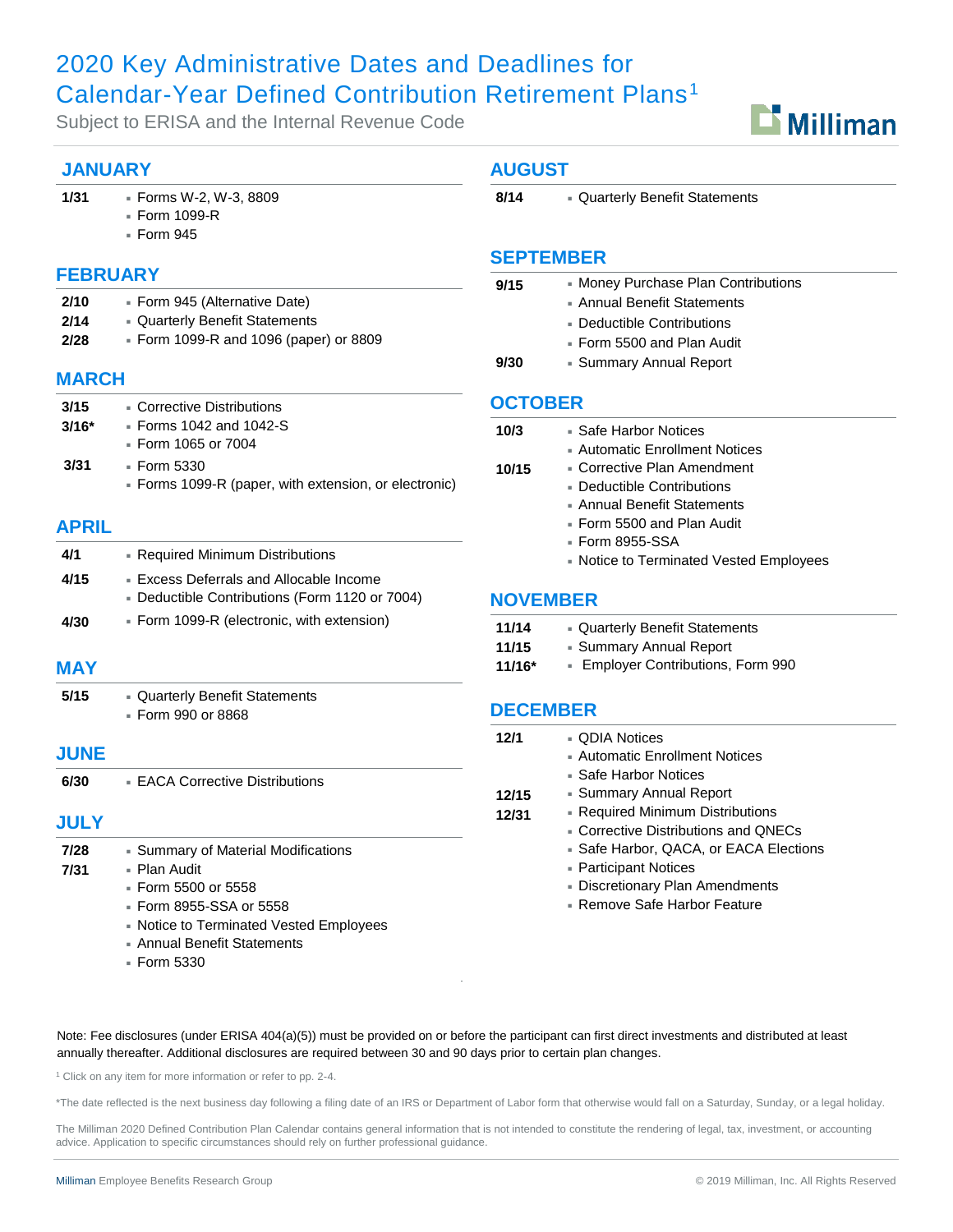# 2020 Key Administrative Dates and Deadlines for Calendar-Year Defined Contribution Retirement Plans<sup>1</sup>

Subject to ERISA and the Internal Revenue Code

### **JANUARY**

#### **1/31** [Forms W-2, W-3, 8809](#page-1-0)

- Form 1099-R
	- [Form 945](#page-1-0)

#### **FEBRUARY**

| 2/10 | • Form 945 (Alternative Date)          |
|------|----------------------------------------|
| 2/14 | - Quarterly Benefit Statements         |
| 2/28 | • Form 1099-R and 1096 (paper) or 8809 |

#### **MARCH**

| 3/15    | • Corrective Distributions                                           |  |
|---------|----------------------------------------------------------------------|--|
| $3/16*$ | $\overline{ }$ Forms 1042 and 1042-S                                 |  |
|         | ■ Form 1065 or 7004                                                  |  |
| 3/31    | ▪ Form 5330<br>• Forms 1099-R (paper, with extension, or electronic) |  |

#### **APRIL**

| 4/1  | - Required Minimum Distributions               |  |
|------|------------------------------------------------|--|
| 4/15 | • Excess Deferrals and Allocable Income        |  |
|      | - Deductible Contributions (Form 1120 or 7004) |  |
| 4/30 | Form 1099-R (electronic, with extension)       |  |

#### **MAY**

| 5/15 | - Quarterly Benefit Statements |
|------|--------------------------------|
|      | ■ Form 990 or 8868             |

#### **JUNE**

| 6/30        | • EACA Corrective Distributions     |
|-------------|-------------------------------------|
| <b>JULY</b> |                                     |
| 7/28        | • Summary of Material Modifications |
| 7/31        | - Plan Audit                        |

- [Form 5500 or 5558](#page-2-0)
	- Form 8955-SSA or 5558
	- [Notice to Terminated Vested Employees](#page-2-0)
	- [Annual Benefit Statements](#page-2-0)
	- $=$  Form 5330

#### **AUGUST**

8/14 **[Quarterly Benefit Statements](#page-2-0)** 

#### **SEPTEMBER**

| 9/15 | • Money Purchase Plan Contributions |
|------|-------------------------------------|
|      | • Annual Benefit Statements         |
|      | • Deductible Contributions          |
|      | ■ Form 5500 and Plan Audit          |

**9/30** [Summary Annual Report](#page-2-0)

#### **OCTOBER**

| 10/3<br>▪ Safe Harbor Notices |                                          |
|-------------------------------|------------------------------------------|
|                               | - Automatic Enrollment Notices           |
| 10/15                         | $\blacksquare$ Corrective Plan Amendment |
|                               | $\blacksquare$ Deductible Contributions  |
|                               | ▪ Annual Benefit Statements              |
|                               | ■ Form 5500 and Plan Audit               |
|                               | ▪ Form 8955-SSA                          |
|                               | • Notice to Terminated Vested Employees  |
| <b>NOVEMBER</b>               |                                          |
|                               |                                          |
| 11/14                         | - Quarterly Benefit Statements           |
| 11/15                         | - Summary Annual Report                  |
| 44 14 C +                     | - Employer Contributions, Form 000       |

**11/16\*** [Employer Contributions, Form 990](#page-3-0)

#### **DECEMBER**

| 12/1  | - QDIA Notices                         |
|-------|----------------------------------------|
|       | - Automatic Enrollment Notices         |
|       | • Safe Harbor Notices                  |
| 12/15 | - Summary Annual Report                |
| 12/31 | - Required Minimum Distributions       |
|       | • Corrective Distributions and QNECs   |
|       | • Safe Harbor, QACA, or EACA Elections |
|       | • Participant Notices                  |
|       | - Discretionary Plan Amendments        |
|       | • Remove Safe Harbor Feature           |

Note: Fee disclosures (under ERISA 404(a)(5)) must be provided on or before the participant can first direct investments and distributed at least annually thereafter. Additional disclosures are required between 30 and 90 days prior to certain plan changes.

<sup>1</sup> Click on any item for more information or refer to pp. 2-4.

\*The date reflected is the next business day following a filing date of an IRS or Department of Labor form that otherwise would fall on a Saturday, Sunday, or a legal holiday.

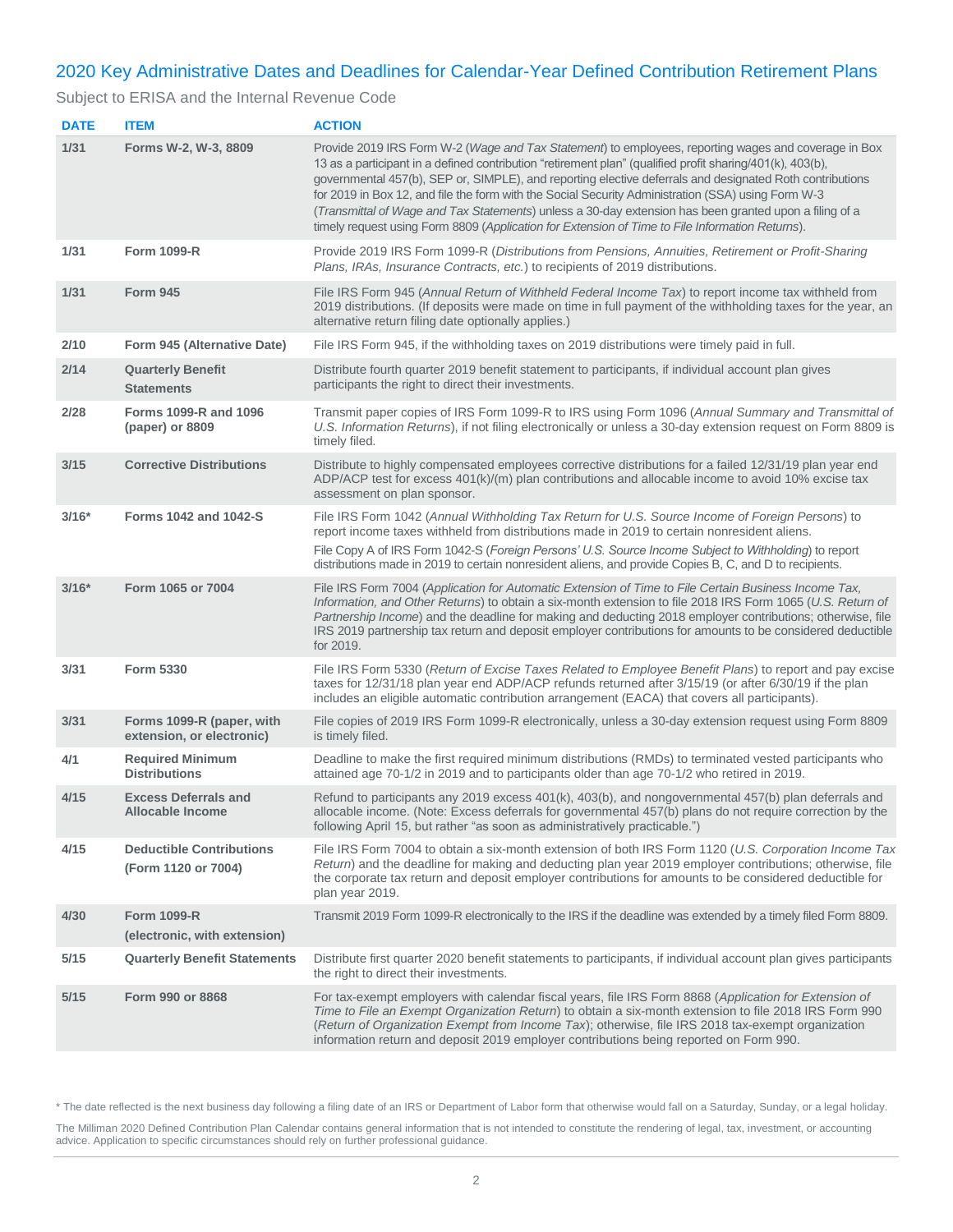## <span id="page-1-0"></span>2020 Key Administrative Dates and Deadlines for Calendar-Year Defined Contribution Retirement Plans

#### Subject to ERISA and the Internal Revenue Code

| <b>DATE</b> | <b>ITEM</b>                                            | <b>ACTION</b>                                                                                                                                                                                                                                                                                                                                                                                                                                                                                                                                                                                                                                    |
|-------------|--------------------------------------------------------|--------------------------------------------------------------------------------------------------------------------------------------------------------------------------------------------------------------------------------------------------------------------------------------------------------------------------------------------------------------------------------------------------------------------------------------------------------------------------------------------------------------------------------------------------------------------------------------------------------------------------------------------------|
| 1/31        | Forms W-2, W-3, 8809                                   | Provide 2019 IRS Form W-2 (Wage and Tax Statement) to employees, reporting wages and coverage in Box<br>13 as a participant in a defined contribution "retirement plan" (qualified profit sharing/401(k), 403(b),<br>governmental 457(b), SEP or, SIMPLE), and reporting elective deferrals and designated Roth contributions<br>for 2019 in Box 12, and file the form with the Social Security Administration (SSA) using Form W-3<br>(Transmittal of Wage and Tax Statements) unless a 30-day extension has been granted upon a filing of a<br>timely request using Form 8809 (Application for Extension of Time to File Information Returns). |
| 1/31        | <b>Form 1099-R</b>                                     | Provide 2019 IRS Form 1099-R (Distributions from Pensions, Annuities, Retirement or Profit-Sharing<br>Plans, IRAs, Insurance Contracts, etc.) to recipients of 2019 distributions.                                                                                                                                                                                                                                                                                                                                                                                                                                                               |
| 1/31        | <b>Form 945</b>                                        | File IRS Form 945 (Annual Return of Withheld Federal Income Tax) to report income tax withheld from<br>2019 distributions. (If deposits were made on time in full payment of the withholding taxes for the year, an<br>alternative return filing date optionally applies.)                                                                                                                                                                                                                                                                                                                                                                       |
| 2/10        | Form 945 (Alternative Date)                            | File IRS Form 945, if the withholding taxes on 2019 distributions were timely paid in full.                                                                                                                                                                                                                                                                                                                                                                                                                                                                                                                                                      |
| 2/14        | <b>Quarterly Benefit</b><br><b>Statements</b>          | Distribute fourth quarter 2019 benefit statement to participants, if individual account plan gives<br>participants the right to direct their investments.                                                                                                                                                                                                                                                                                                                                                                                                                                                                                        |
| 2/28        | Forms 1099-R and 1096<br>(paper) or 8809               | Transmit paper copies of IRS Form 1099-R to IRS using Form 1096 (Annual Summary and Transmittal of<br>U.S. Information Returns), if not filing electronically or unless a 30-day extension request on Form 8809 is<br>timely filed.                                                                                                                                                                                                                                                                                                                                                                                                              |
| 3/15        | <b>Corrective Distributions</b>                        | Distribute to highly compensated employees corrective distributions for a failed 12/31/19 plan year end<br>ADP/ACP test for excess 401(k)/(m) plan contributions and allocable income to avoid 10% excise tax<br>assessment on plan sponsor.                                                                                                                                                                                                                                                                                                                                                                                                     |
| $3/16*$     | <b>Forms 1042 and 1042-S</b>                           | File IRS Form 1042 (Annual Withholding Tax Return for U.S. Source Income of Foreign Persons) to<br>report income taxes withheld from distributions made in 2019 to certain nonresident aliens.<br>File Copy A of IRS Form 1042-S (Foreign Persons' U.S. Source Income Subject to Withholding) to report<br>distributions made in 2019 to certain nonresident aliens, and provide Copies B, C, and D to recipients.                                                                                                                                                                                                                               |
| $3/16*$     | Form 1065 or 7004                                      | File IRS Form 7004 (Application for Automatic Extension of Time to File Certain Business Income Tax,<br>Information, and Other Returns) to obtain a six-month extension to file 2018 IRS Form 1065 (U.S. Return of<br>Partnership Income) and the deadline for making and deducting 2018 employer contributions; otherwise, file<br>IRS 2019 partnership tax return and deposit employer contributions for amounts to be considered deductible<br>for 2019.                                                                                                                                                                                      |
| 3/31        | Form 5330                                              | File IRS Form 5330 (Return of Excise Taxes Related to Employee Benefit Plans) to report and pay excise<br>taxes for 12/31/18 plan year end ADP/ACP refunds returned after 3/15/19 (or after 6/30/19 if the plan<br>includes an eligible automatic contribution arrangement (EACA) that covers all participants).                                                                                                                                                                                                                                                                                                                                 |
| 3/31        | Forms 1099-R (paper, with<br>extension, or electronic) | File copies of 2019 IRS Form 1099-R electronically, unless a 30-day extension request using Form 8809<br>is timely filed.                                                                                                                                                                                                                                                                                                                                                                                                                                                                                                                        |
| 4/1         | <b>Required Minimum</b><br><b>Distributions</b>        | Deadline to make the first required minimum distributions (RMDs) to terminated vested participants who<br>attained age 70-1/2 in 2019 and to participants older than age 70-1/2 who retired in 2019.                                                                                                                                                                                                                                                                                                                                                                                                                                             |
| 4/15        | <b>Excess Deferrals and</b><br>Allocable Income        | Refund to participants any 2019 excess 401(k), 403(b), and nongovernmental 457(b) plan deferrals and<br>allocable income. (Note: Excess deferrals for governmental 457(b) plans do not require correction by the<br>following April 15, but rather "as soon as administratively practicable.")                                                                                                                                                                                                                                                                                                                                                   |
| 4/15        | <b>Deductible Contributions</b><br>(Form 1120 or 7004) | File IRS Form 7004 to obtain a six-month extension of both IRS Form 1120 (U.S. Corporation Income Tax<br>Return) and the deadline for making and deducting plan year 2019 employer contributions; otherwise, file<br>the corporate tax return and deposit employer contributions for amounts to be considered deductible for<br>plan year 2019.                                                                                                                                                                                                                                                                                                  |
| 4/30        | <b>Form 1099-R</b><br>(electronic, with extension)     | Transmit 2019 Form 1099-R electronically to the IRS if the deadline was extended by a timely filed Form 8809.                                                                                                                                                                                                                                                                                                                                                                                                                                                                                                                                    |
| 5/15        | <b>Quarterly Benefit Statements</b>                    | Distribute first quarter 2020 benefit statements to participants, if individual account plan gives participants<br>the right to direct their investments.                                                                                                                                                                                                                                                                                                                                                                                                                                                                                        |
| 5/15        | Form 990 or 8868                                       | For tax-exempt employers with calendar fiscal years, file IRS Form 8868 (Application for Extension of<br>Time to File an Exempt Organization Return) to obtain a six-month extension to file 2018 IRS Form 990<br>(Return of Organization Exempt from Income Tax); otherwise, file IRS 2018 tax-exempt organization<br>information return and deposit 2019 employer contributions being reported on Form 990.                                                                                                                                                                                                                                    |

\* The date reflected is the next business day following a filing date of an IRS or Department of Labor form that otherwise would fall on a Saturday, Sunday, or a legal holiday.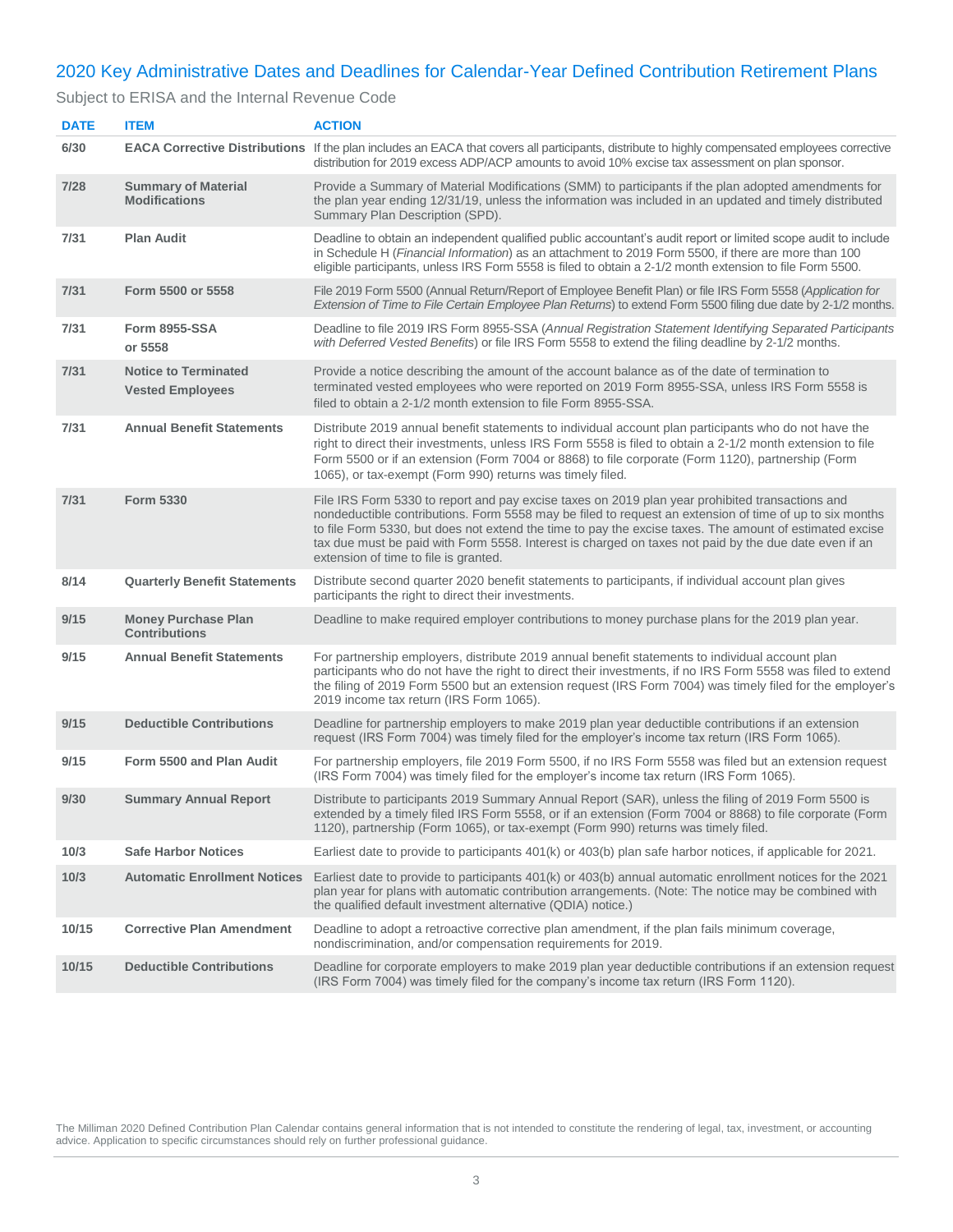## <span id="page-2-0"></span>2020 Key Administrative Dates and Deadlines for Calendar-Year Defined Contribution Retirement Plans

Subject to ERISA and the Internal Revenue Code

| <b>DATE</b> | <b>ITEM</b>                                            | <b>ACTION</b>                                                                                                                                                                                                                                                                                                                                                                                                                                                           |
|-------------|--------------------------------------------------------|-------------------------------------------------------------------------------------------------------------------------------------------------------------------------------------------------------------------------------------------------------------------------------------------------------------------------------------------------------------------------------------------------------------------------------------------------------------------------|
| 6/30        |                                                        | <b>EACA Corrective Distributions</b> If the plan includes an EACA that covers all participants, distribute to highly compensated employees corrective<br>distribution for 2019 excess ADP/ACP amounts to avoid 10% excise tax assessment on plan sponsor.                                                                                                                                                                                                               |
| 7/28        | <b>Summary of Material</b><br><b>Modifications</b>     | Provide a Summary of Material Modifications (SMM) to participants if the plan adopted amendments for<br>the plan year ending 12/31/19, unless the information was included in an updated and timely distributed<br>Summary Plan Description (SPD).                                                                                                                                                                                                                      |
| 7/31        | <b>Plan Audit</b>                                      | Deadline to obtain an independent qualified public accountant's audit report or limited scope audit to include<br>in Schedule H ( <i>Financial Information</i> ) as an attachment to 2019 Form 5500, if there are more than 100<br>eligible participants, unless IRS Form 5558 is filed to obtain a 2-1/2 month extension to file Form 5500.                                                                                                                            |
| 7/31        | Form 5500 or 5558                                      | File 2019 Form 5500 (Annual Return/Report of Employee Benefit Plan) or file IRS Form 5558 (Application for<br>Extension of Time to File Certain Employee Plan Returns) to extend Form 5500 filing due date by 2-1/2 months.                                                                                                                                                                                                                                             |
| 7/31        | <b>Form 8955-SSA</b><br>or 5558                        | Deadline to file 2019 IRS Form 8955-SSA (Annual Registration Statement Identifying Separated Participants<br>with Deferred Vested Benefits) or file IRS Form 5558 to extend the filing deadline by 2-1/2 months.                                                                                                                                                                                                                                                        |
| 7/31        | <b>Notice to Terminated</b><br><b>Vested Employees</b> | Provide a notice describing the amount of the account balance as of the date of termination to<br>terminated vested employees who were reported on 2019 Form 8955-SSA, unless IRS Form 5558 is<br>filed to obtain a 2-1/2 month extension to file Form 8955-SSA.                                                                                                                                                                                                        |
| 7/31        | <b>Annual Benefit Statements</b>                       | Distribute 2019 annual benefit statements to individual account plan participants who do not have the<br>right to direct their investments, unless IRS Form 5558 is filed to obtain a 2-1/2 month extension to file<br>Form 5500 or if an extension (Form 7004 or 8868) to file corporate (Form 1120), partnership (Form<br>1065), or tax-exempt (Form 990) returns was timely filed.                                                                                   |
| 7/31        | <b>Form 5330</b>                                       | File IRS Form 5330 to report and pay excise taxes on 2019 plan year prohibited transactions and<br>nondeductible contributions. Form 5558 may be filed to request an extension of time of up to six months<br>to file Form 5330, but does not extend the time to pay the excise taxes. The amount of estimated excise<br>tax due must be paid with Form 5558. Interest is charged on taxes not paid by the due date even if an<br>extension of time to file is granted. |
| 8/14        | <b>Quarterly Benefit Statements</b>                    | Distribute second quarter 2020 benefit statements to participants, if individual account plan gives<br>participants the right to direct their investments.                                                                                                                                                                                                                                                                                                              |
| 9/15        | <b>Money Purchase Plan</b><br><b>Contributions</b>     | Deadline to make required employer contributions to money purchase plans for the 2019 plan year.                                                                                                                                                                                                                                                                                                                                                                        |
| 9/15        | <b>Annual Benefit Statements</b>                       | For partnership employers, distribute 2019 annual benefit statements to individual account plan<br>participants who do not have the right to direct their investments, if no IRS Form 5558 was filed to extend<br>the filing of 2019 Form 5500 but an extension request (IRS Form 7004) was timely filed for the employer's<br>2019 income tax return (IRS Form 1065).                                                                                                  |
| 9/15        | <b>Deductible Contributions</b>                        | Deadline for partnership employers to make 2019 plan year deductible contributions if an extension<br>request (IRS Form 7004) was timely filed for the employer's income tax return (IRS Form 1065).                                                                                                                                                                                                                                                                    |
| 9/15        | Form 5500 and Plan Audit                               | For partnership employers, file 2019 Form 5500, if no IRS Form 5558 was filed but an extension request<br>(IRS Form 7004) was timely filed for the employer's income tax return (IRS Form 1065).                                                                                                                                                                                                                                                                        |
| 9/30        | <b>Summary Annual Report</b>                           | Distribute to participants 2019 Summary Annual Report (SAR), unless the filing of 2019 Form 5500 is<br>extended by a timely filed IRS Form 5558, or if an extension (Form 7004 or 8868) to file corporate (Form<br>1120), partnership (Form 1065), or tax-exempt (Form 990) returns was timely filed.                                                                                                                                                                   |
| 10/3        | <b>Safe Harbor Notices</b>                             | Earliest date to provide to participants 401(k) or 403(b) plan safe harbor notices, if applicable for 2021.                                                                                                                                                                                                                                                                                                                                                             |
| 10/3        | <b>Automatic Enrollment Notices</b>                    | Earliest date to provide to participants 401(k) or 403(b) annual automatic enrollment notices for the 2021<br>plan year for plans with automatic contribution arrangements. (Note: The notice may be combined with<br>the qualified default investment alternative (QDIA) notice.)                                                                                                                                                                                      |
| 10/15       | <b>Corrective Plan Amendment</b>                       | Deadline to adopt a retroactive corrective plan amendment, if the plan fails minimum coverage,<br>nondiscrimination, and/or compensation requirements for 2019.                                                                                                                                                                                                                                                                                                         |
| 10/15       | <b>Deductible Contributions</b>                        | Deadline for corporate employers to make 2019 plan year deductible contributions if an extension request<br>(IRS Form 7004) was timely filed for the company's income tax return (IRS Form 1120).                                                                                                                                                                                                                                                                       |